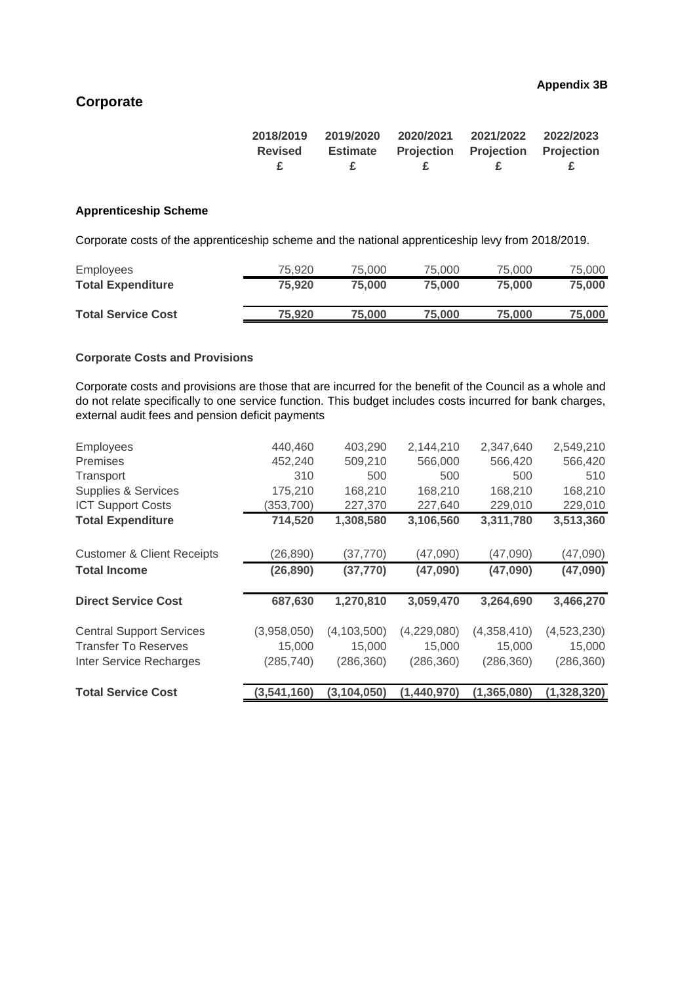# **Corporate**

| 2018/2019 | 2019/2020       | 2020/2021 | 2021/2022                               | 2022/2023 |
|-----------|-----------------|-----------|-----------------------------------------|-----------|
| Revised   | <b>Estimate</b> |           | <b>Projection Projection Projection</b> |           |
| £         |                 |           |                                         |           |

## **Apprenticeship Scheme**

Corporate costs of the apprenticeship scheme and the national apprenticeship levy from 2018/2019.

| Employees                 | 75.920 | 75.000 | 75,000 | 75.000 | 75,000 |
|---------------------------|--------|--------|--------|--------|--------|
| <b>Total Expenditure</b>  | 75.920 | 75.000 | 75,000 | 75.000 | 75.000 |
|                           |        |        |        |        |        |
| <b>Total Service Cost</b> | 75.920 | 75,000 | 75,000 | 75.000 | 75,000 |
|                           |        |        |        |        |        |

#### **Corporate Costs and Provisions**

Corporate costs and provisions are those that are incurred for the benefit of the Council as a whole and do not relate specifically to one service function. This budget includes costs incurred for bank charges, external audit fees and pension deficit payments

| <b>Total Service Cost</b>             | (3,541,160) | (3,104,050)   | (1,440,970) | (1, 365, 080) | (1,328,320) |
|---------------------------------------|-------------|---------------|-------------|---------------|-------------|
|                                       |             |               |             |               |             |
| <b>Inter Service Recharges</b>        | (285, 740)  | (286, 360)    | (286, 360)  | (286, 360)    | (286, 360)  |
| <b>Transfer To Reserves</b>           | 15,000      | 15,000        | 15,000      | 15,000        | 15,000      |
| <b>Central Support Services</b>       | (3,958,050) | (4, 103, 500) | (4,229,080) | (4,358,410)   | (4,523,230) |
| <b>Direct Service Cost</b>            | 687,630     | 1,270,810     | 3,059,470   | 3,264,690     | 3,466,270   |
| <b>Total Income</b>                   | (26, 890)   | (37, 770)     | (47,090)    | (47,090)      | (47,090)    |
| <b>Customer &amp; Client Receipts</b> | (26, 890)   | (37, 770)     | (47,090)    | (47,090)      | (47,090)    |
| <b>Total Expenditure</b>              | 714,520     | 1,308,580     | 3,106,560   | 3,311,780     | 3,513,360   |
|                                       |             |               |             |               |             |
| <b>ICT Support Costs</b>              | (353,700)   | 227,370       | 227,640     | 229,010       | 229,010     |
| Supplies & Services                   | 175,210     | 168,210       | 168,210     | 168,210       | 168,210     |
| Transport                             | 310         | 500           | 500         | 500           | 510         |
| <b>Premises</b>                       | 452,240     | 509,210       | 566,000     | 566,420       | 566,420     |
| <b>Employees</b>                      | 440,460     | 403,290       | 2,144,210   | 2,347,640     | 2,549,210   |